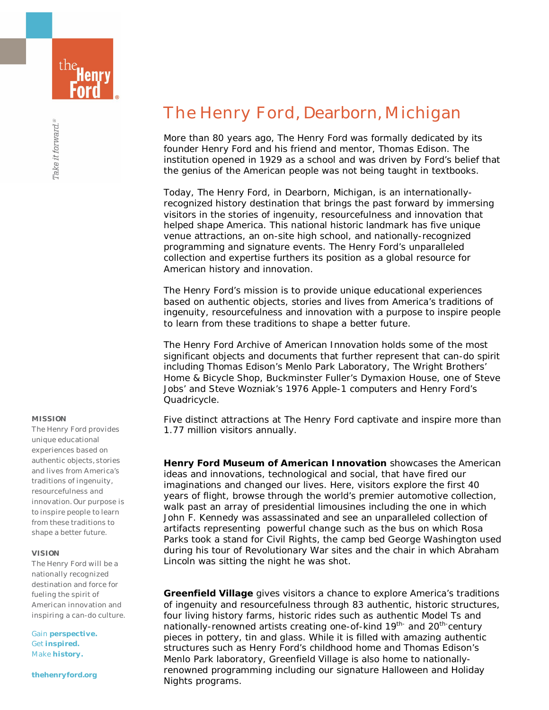

# **MISSION**

The Henry Ford provides unique educational experiences based on authentic objects, stories and lives from America's traditions of ingenuity, resourcefulness and innovation. Our purpose is to inspire people to learn from these traditions to shape a better future.

# **VISION**

The Henry Ford will be a nationally recognized destination and force for fueling the spirit of American innovation and inspiring a can-do culture.

Gain **perspective.** Get **inspired.** Make **history.** 

**thehenryford.org** 

# The Henry Ford, Dearborn, Michigan

More than 80 years ago, The Henry Ford was formally dedicated by its founder Henry Ford and his friend and mentor, Thomas Edison. The institution opened in 1929 as a school and was driven by Ford's belief that the genius of the American people was not being taught in textbooks.

Today, The Henry Ford, in Dearborn, Michigan, is an internationallyrecognized history destination that brings the past forward by immersing visitors in the stories of ingenuity, resourcefulness and innovation that helped shape America. This national historic landmark has five unique venue attractions, an on-site high school, and nationally-recognized programming and signature events. The Henry Ford's unparalleled collection and expertise furthers its position as a global resource for American history and innovation.

The Henry Ford's mission is to provide unique educational experiences based on authentic objects, stories and lives from America's traditions of ingenuity, resourcefulness and innovation with a purpose to inspire people to learn from these traditions to shape a better future.

The Henry Ford Archive of American Innovation holds some of the most significant objects and documents that further represent that can-do spirit including Thomas Edison's Menlo Park Laboratory, The Wright Brothers' Home & Bicycle Shop, Buckminster Fuller's Dymaxion House, one of Steve Jobs' and Steve Wozniak's 1976 Apple-1 computers and Henry Ford's Quadricycle.

Five distinct attractions at The Henry Ford captivate and inspire more than 1.77 million visitors annually.

**Henry Ford Museum of American Innovation** showcases the American ideas and innovations, technological and social, that have fired our imaginations and changed our lives. Here, visitors explore the first 40 years of flight, browse through the world's premier automotive collection, walk past an array of presidential limousines including the one in which John F. Kennedy was assassinated and see an unparalleled collection of artifacts representing powerful change such as the bus on which Rosa Parks took a stand for Civil Rights, the camp bed George Washington used during his tour of Revolutionary War sites and the chair in which Abraham Lincoln was sitting the night he was shot.

**Greenfield Village** gives visitors a chance to explore America's traditions of ingenuity and resourcefulness through 83 authentic, historic structures, four living history farms, historic rides such as authentic Model Ts and nationally-renowned artists creating one-of-kind 19<sup>th-</sup> and 20<sup>th-</sup>century pieces in pottery, tin and glass. While it is filled with amazing authentic structures such as Henry Ford's childhood home and Thomas Edison's Menlo Park laboratory, Greenfield Village is also home to nationallyrenowned programming including our signature Halloween and Holiday Nights programs.